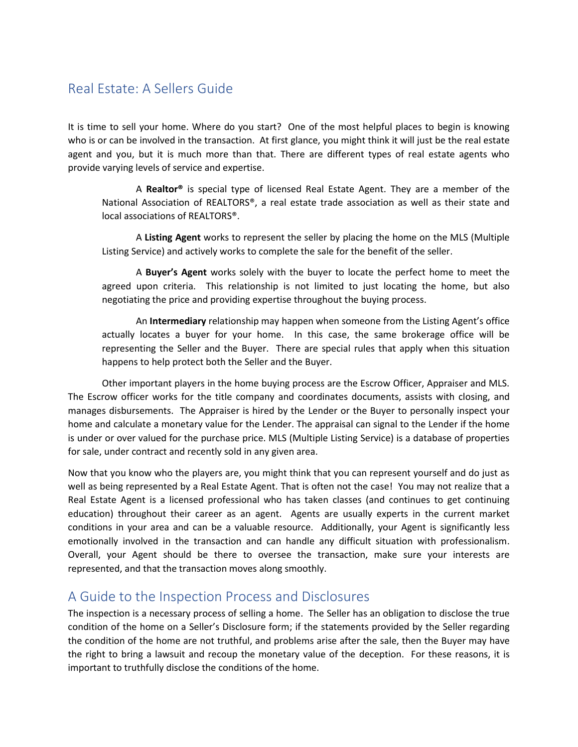## Real Estate: A Sellers Guide

It is time to sell your home. Where do you start? One of the most helpful places to begin is knowing who is or can be involved in the transaction. At first glance, you might think it will just be the real estate agent and you, but it is much more than that. There are different types of real estate agents who provide varying levels of service and expertise.

A **Realtor®** is special type of licensed Real Estate Agent. They are a member of the National Association of REALTORS®, a real estate trade association as well as their state and local associations of REALTORS®.

A **Listing Agent** works to represent the seller by placing the home on the MLS (Multiple Listing Service) and actively works to complete the sale for the benefit of the seller.

A **Buyer's Agent** works solely with the buyer to locate the perfect home to meet the agreed upon criteria. This relationship is not limited to just locating the home, but also negotiating the price and providing expertise throughout the buying process.

An **Intermediary** relationship may happen when someone from the Listing Agent's office actually locates a buyer for your home. In this case, the same brokerage office will be representing the Seller and the Buyer. There are special rules that apply when this situation happens to help protect both the Seller and the Buyer.

Other important players in the home buying process are the Escrow Officer, Appraiser and MLS. The Escrow officer works for the title company and coordinates documents, assists with closing, and manages disbursements. The Appraiser is hired by the Lender or the Buyer to personally inspect your home and calculate a monetary value for the Lender. The appraisal can signal to the Lender if the home is under or over valued for the purchase price. MLS (Multiple Listing Service) is a database of properties for sale, under contract and recently sold in any given area.

Now that you know who the players are, you might think that you can represent yourself and do just as well as being represented by a Real Estate Agent. That is often not the case! You may not realize that a Real Estate Agent is a licensed professional who has taken classes (and continues to get continuing education) throughout their career as an agent. Agents are usually experts in the current market conditions in your area and can be a valuable resource. Additionally, your Agent is significantly less emotionally involved in the transaction and can handle any difficult situation with professionalism. Overall, your Agent should be there to oversee the transaction, make sure your interests are represented, and that the transaction moves along smoothly.

#### A Guide to the Inspection Process and Disclosures

The inspection is a necessary process of selling a home. The Seller has an obligation to disclose the true condition of the home on a Seller's Disclosure form; if the statements provided by the Seller regarding the condition of the home are not truthful, and problems arise after the sale, then the Buyer may have the right to bring a lawsuit and recoup the monetary value of the deception. For these reasons, it is important to truthfully disclose the conditions of the home.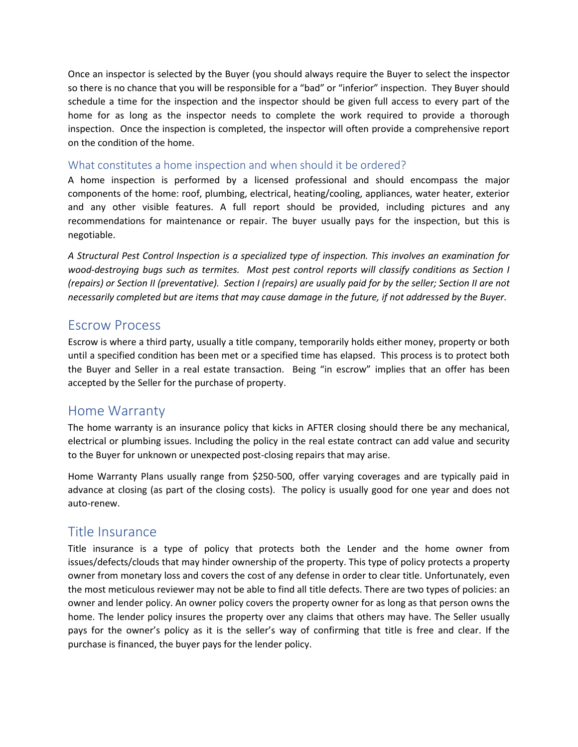Once an inspector is selected by the Buyer (you should always require the Buyer to select the inspector so there is no chance that you will be responsible for a "bad" or "inferior" inspection. They Buyer should schedule a time for the inspection and the inspector should be given full access to every part of the home for as long as the inspector needs to complete the work required to provide a thorough inspection. Once the inspection is completed, the inspector will often provide a comprehensive report on the condition of the home.

#### What constitutes a home inspection and when should it be ordered?

A home inspection is performed by a licensed professional and should encompass the major components of the home: roof, plumbing, electrical, heating/cooling, appliances, water heater, exterior and any other visible features. A full report should be provided, including pictures and any recommendations for maintenance or repair. The buyer usually pays for the inspection, but this is negotiable.

*A Structural Pest Control Inspection is a specialized type of inspection. This involves an examination for wood-destroying bugs such as termites. Most pest control reports will classify conditions as Section I (repairs) or Section II (preventative). Section I (repairs) are usually paid for by the seller; Section II are not necessarily completed but are items that may cause damage in the future, if not addressed by the Buyer.*

#### Escrow Process

Escrow is where a third party, usually a title company, temporarily holds either money, property or both until a specified condition has been met or a specified time has elapsed. This process is to protect both the Buyer and Seller in a real estate transaction. Being "in escrow" implies that an offer has been accepted by the Seller for the purchase of property.

#### Home Warranty

The home warranty is an insurance policy that kicks in AFTER closing should there be any mechanical, electrical or plumbing issues. Including the policy in the real estate contract can add value and security to the Buyer for unknown or unexpected post-closing repairs that may arise.

Home Warranty Plans usually range from \$250-500, offer varying coverages and are typically paid in advance at closing (as part of the closing costs). The policy is usually good for one year and does not auto-renew.

#### Title Insurance

Title insurance is a type of policy that protects both the Lender and the home owner from issues/defects/clouds that may hinder ownership of the property. This type of policy protects a property owner from monetary loss and covers the cost of any defense in order to clear title. Unfortunately, even the most meticulous reviewer may not be able to find all title defects. There are two types of policies: an owner and lender policy. An owner policy covers the property owner for as long as that person owns the home. The lender policy insures the property over any claims that others may have. The Seller usually pays for the owner's policy as it is the seller's way of confirming that title is free and clear. If the purchase is financed, the buyer pays for the lender policy.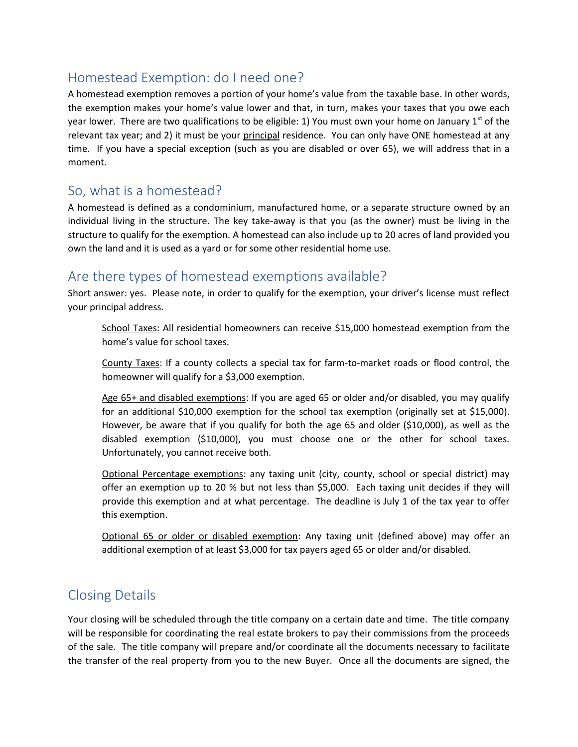# Homestead Exemption: do I need one?

A homestead exemption removes a portion of your home's value from the taxable base. In other words, the exemption makes your home's value lower and that, in turn, makes your taxes that you owe each year lower. There are two qualifications to be eligible: 1) You must own your home on January 1<sup>st</sup> of the relevant tax year; and 2) it must be your principal residence. You can only have ONE homestead at any time. If you have a special exception (such as you are disabled or over 65), we will address that in a moment.

### So, what is a homestead?

A homestead is defined as a condominium, manufactured home, or a separate structure owned by an individual living in the structure. The key take-away is that you (as the owner) must be living in the structure to qualify for the exemption. A homestead can also include up to 20 acres of land provided you own the land and it is used as a yard or for some other residential home use.

## Are there types of homestead exemptions available?

Short answer: yes. Please note, in order to qualify for the exemption, your driver's license must reflect your principal address.

School Taxes: All residential homeowners can receive \$15,000 homestead exemption from the home's value for school taxes.

County Taxes: If a county collects a special tax for farm-to-market roads or flood control, the homeowner will qualify for a \$3,000 exemption.

Age 65+ and disabled exemptions: If you are aged 65 or older and/or disabled, you may qualify for an additional \$10,000 exemption for the school tax exemption (originally set at \$15,000). However, be aware that if you qualify for both the age 65 and older (\$10,000), as well as the disabled exemption (\$10,000), you must choose one or the other for school taxes. Unfortunately, you cannot receive both.

Optional Percentage exemptions: any taxing unit (city, county, school or special district) may offer an exemption up to 20 % but not less than \$5,000. Each taxing unit decides if they will provide this exemption and at what percentage. The deadline is July 1 of the tax year to offer this exemption.

Optional 65 or older or disabled exemption: Any taxing unit (defined above) may offer an additional exemption of at least \$3,000 for tax payers aged 65 or older and/or disabled.

# Closing Details

Your closing will be scheduled through the title company on a certain date and time. The title company will be responsible for coordinating the real estate brokers to pay their commissions from the proceeds of the sale. The title company will prepare and/or coordinate all the documents necessary to facilitate the transfer of the real property from you to the new Buyer. Once all the documents are signed, the